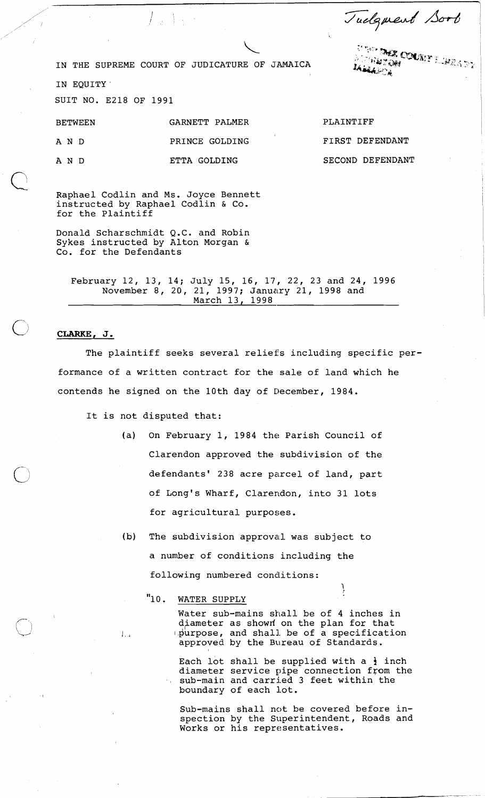Tuelquent Sort

<sup>701</sup>ter o<mark>mar Com</mark>unit ellerring<br>Scotter om <sup>elle</sup>rring ellerring<br>Grafia om

**JAMAARA** 

IN THE SUPREME COURT OF JUDICATURE OF JAMAICA

IN EQUITY'

SUIT NO. E218 OF 1991

| BETWEEN | GARNETT PALMER | PLAINTIFF        |
|---------|----------------|------------------|
| A N D   | PRINCE GOLDING | FIRST DEFENDANT  |
| A N D   | ETTA GOLDING   | SECOND DEFENDANT |

 $\bigcup$ Raphael Codlin and Ms. Joyce Bennett instructed by Raphael Codlin & Co. for the Plaintiff

> Donald Scharschmidt Q.C. and Robin Sykes instructed by Alton Morgan & Co. for the Defendants

February 12, 13, 14; July 15, 16, 17, 22, 23 and 24, 1996 November 8, 20, 21, 1997; January 21, 1998 and March 13, 1998

## CLARKE, J.

The plaintiff seeks several reliefs including specific performance of a written contract for the sale of land which he contends he signed on the 10th day of December, 1984.

It is not disputed that:

 $\int_{\mathbb{R}^{n} \times \mathbb{R}^{n}}$ 

- (a) On February 1, 1984 the Parish Council of Clarendon approved the subdivision of the defendants' 238 acre parcel of land, part of Long's Wharf, Clarendon, into 31 lots for agricultural purposes.
- (b) The subdivision approval was subject to a number of conditions including the following numbered conditions:
	- "10. WATER SUPPLY

Water sub-mains shall be of 4 inches in diameter as shown on the plan for that  $\psi$ urpose, and shall be of a specification approved by the Bureau of Standards.

I :

Each lot shall be supplied with a **4** inch diameter service pipe connection from the , sub-main and carried 3 feet within the boundary of each lot.

Sub-mains shall not be covered before inspection by the Superintendent, Roads and Works or his representatives.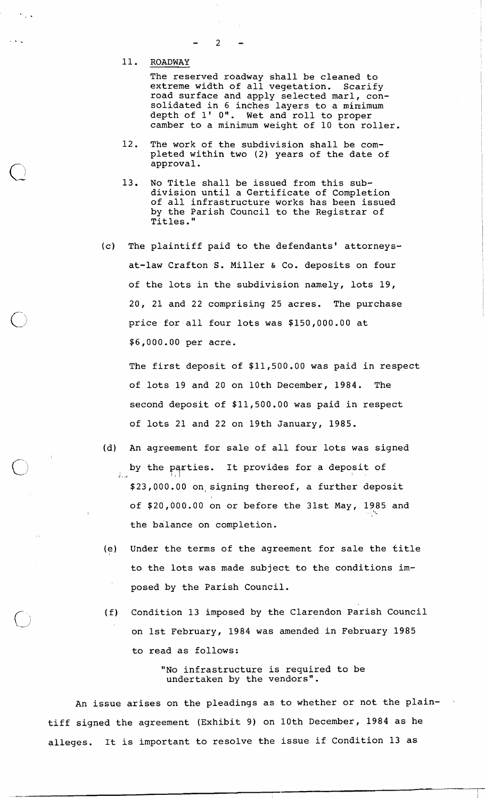11. ROADWAY

The reserved roadway shall be cleaned to extreme width of all vegetation. Scarify road surface and apply selected marl, consolidated in 6 inches layers to a minimum depth of 1' 0". Wet and roll to proper camber to a minimum weight of 10 ton roller.

- 12. The work of the subdivision shall be completed within two (2) years of the date of approval.
- 13. No Title shall be issued from this subdivision until a Certificate of Completion of all infrastructure works has been issued by the Parish Council to the Registrar of Titles. "
- (c) The plaintiff paid to the defendants' attorneysat-law Crafton S. Miller & Co. deposits on four of the lots in the subdivision namely, lots 19, 20, 21 and 22 comprising 25 acres. The purchase price for all four lots was \$150,000.00 at \$6,000.00 per acre.

The first deposit of \$11,500.00 was paid in respect of lots 19 and 20 on 10th December, 1984. The second deposit of \$11,500.00 was paid in respect of lots 21 and 22 on 19th January, 1985.

- (d) An agreement for sale of all four lots was signed by the parties. It provides for a deposit of \$23,000.00 on, signing thereof, a further deposit of  $$20,000.00$  on or before the 31st May, 1985 and the balance on completion.
- (e) Under the terms of the agreement for sale the title to the lots was made subject to the conditions imposed by the Parish Council.
- (f) Condition 13 imposed by the Clarendon Parish Council on 1st February, 1984 was amended in February 1985 to read as follows:

"No infrastructure is required to be undertaken by the vendors".

An issue arises on the pleadings as to whether or not the plaintiff signed the agreement (Exhibit 9) on 10th December, 1984 as he alleges. It is important to resolve the issue if Condition 13 as

 $\overline{2}$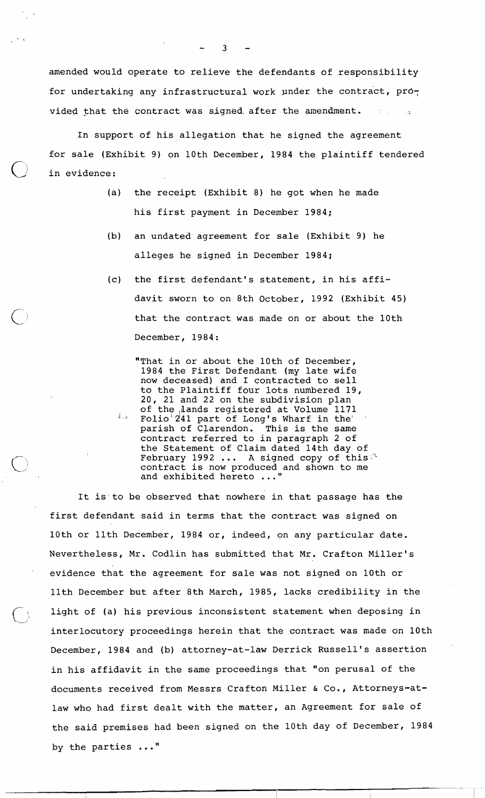amended would operate to relieve the defendants of responsibility for undertaking any infrastructural work under the contract, provided that the contract was signed. after the amendment.  $\mathbb{C}^{\mathbb{C}}$  ,  $\mathbb{C}^{\mathbb{C}}$  ,  $\mathbb{C}^{\mathbb{C}}$  ,  $\mathbb{C}^{\mathbb{C}}$ 

In support of his allegation that he signed the agreement for sale (Exhibit 9) on 10th December, 1984 the plaintiff tendered ) in evidence:

- (a) the receipt (Exhibit 8) he got when he made his first payment in December 1984;
- (b) an undated agreement for sale (Exhibit 9) he alleges he signed in December 1984;
- (c) the first defendant's statement, in his affidavit sworn to on 8th October, 1992 (Exhibit 45) that the contract was made on or about the 10th December, 1984:

"That in or about the 10th of December, 1984 the First Defendant (my late wife now deceased) and I contracted to sell to the Plaintiff four lots numbered 19, 20, 21 and 22 on the subdivision plan of the <sub>l</sub>lands registered at Volume 1171  $\int_{\mathbb{R}^n}$  ${\tt Folio'}$   $241$  part of Long's Wharf in the' ' parish of Clarendon. This is the same contract referred to in paragraph 2 of the Statement of Claim dated 14th day of<br>February 1992 ... A signed copy of this the Statement of Claim dated 14th day of<br>February 1992 ... A signed copy of this contiact is now produced and shown to me and exhibited hereto ..."

It is to be observed that nowhere in that passage has the first defendant said in terms that the contract was signed on 10th or llth December, 1984 or, indeed, on any particular date. Nevertheless, Mr. Codlin has submitted that Mr. Crafton Miller's evidence that the agreement for sale was not signed on 10th or llth December but after 8th March, 1985, lacks credibility in the light of (a) his previous inconsistent statement when deposing in interlocutory proceedings herein that the contract was made on 10th December, 1984 and (b) attorney-at-law Derrick Russell's assertion in his affidavit in the same proceedings that "on perusal of the documents received from Messrs Crafton Miller & Co., Attorneys-atlaw who had first dealt with the matter, an Agreement for sale of the said premises had been signed on the 10th day of December, 1984 by the parties ..."

3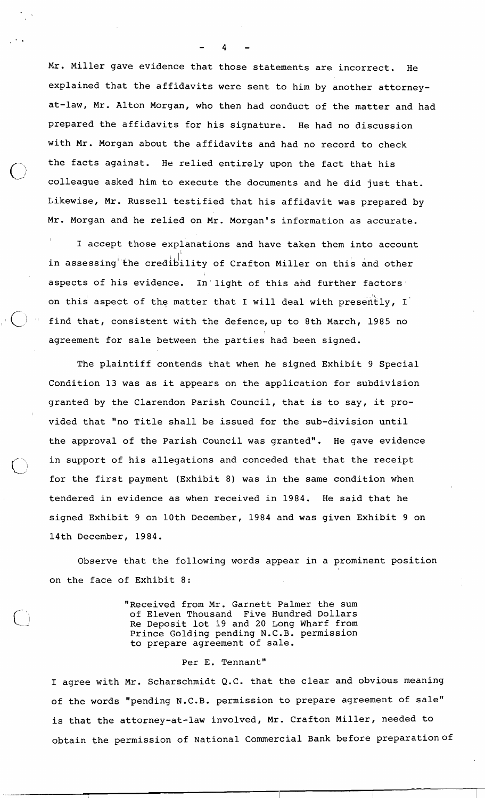Mr. Miller gave evidence that those statements are incorrect. He explained that the affidavits were sent to him by another attorneyat-law, Mr. Alton Morgan, who then had conduct of the matter and had prepared the affidavits for his signature. He had no discussion with Mr. Morgan about the affidavits and had no record to check the facts against. He relied entirely upon the fact that his colleague asked him to execute the documents and he did just that. Likewise, Mr. Russell testified that his affidavit was prepared by Mr. Morgan and he relied on Mr. Morgan's information as accurate.

I accept those explanations and have taken them into account I in assessing the credibility of Crafton Miller on this and other I aspects of his evidence. In'light of this and further factors on this aspect of the matter that I will deal with presently, I find that, consistent with the defence, up to 8th March, 1985 no agreement for sale between the parties had been signed.

The plaintiff contends that when he signed Exhibit 9 Special Condition 13 was as it appears on the application for subdivision granted by the Clarendon Parish Council, that is to say, it provided that "no Title shall be issued for the sub-division until the approval of the Parish Council was granted". He gave evidence in support of his allegations and conceded that that the receipt for the first payment (Exhibit 8) was in the same condition when tendered in evidence as when received in 1984. He said that he signed Exhibit 9 on 10th December, 1984 and was given Exhibit 9 on 14th December, 1984.

Observe that the following words appear in a prominent position on the face of Exhibit 8:

> "Received from Mr. Garnett Palmer the sum of Eleven Thousand Five Hundred Dollars Re Deposit lot 19 and 20 Long Wharf from Prince Golding pending N.C.B. permission to prepare agreement of sale.

## Per E. Tennant"

I agree with Mr. Scharschmidt Q.C. that the clear and obvious meaning of the words "pending N.C.B. permission to prepare agreement of sale" is that the attorney-at-law involved, Mr. Crafton Miller, needed to obtain the permission of National Commercial Bank before preparationof

 $-4-$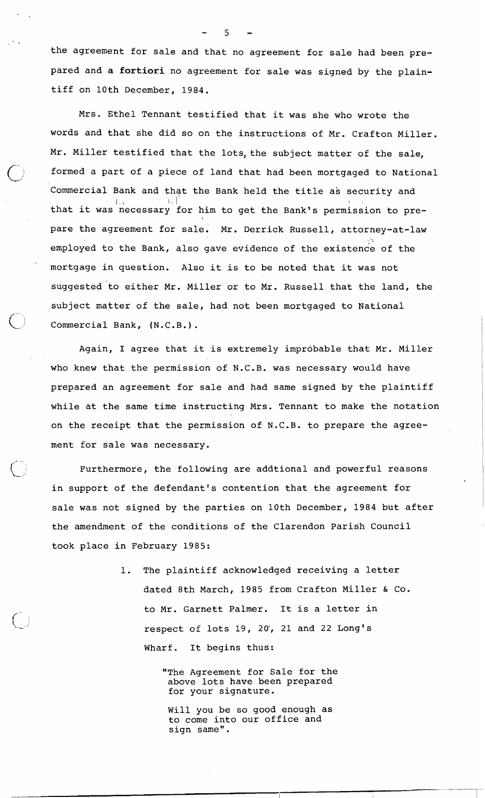the agreement for sale and that no agreement for sale had been prepared and a **fortiori** no agreement for sale was signed by the plaintiff on 10th December, 1984.

5

Mrs. Ethel Tennant testified that it was she who wrote the words and that she did so on the instructions of Mr. Crafton Miller. Mr. Miller testified that the lots, the subject matter of the sale, formed a part of a piece of land that had been mortgaged to National Commercial Bank and that the Bank held the title as security and that it was necessary for him to get the Bank's permission to prepare the agreement for sale. Mr. Derrick Russell, attorney-at-law is a second contract of the second contract of the second contract of the second contract of the second contract of the second contract of the second contract of the second contract of the second contract of the second con employed to the Bank, also gave evidence of the existence of the mortgage in question. Also it is to be noted that it was not suggested'to either Mr. Miller or to Mr. Russell that the land, the subject matter of the sale, had not been mortgaged to National Commercial Bank, (N.C.B.).

Again, I agree that it is extremely improbable that Mr. Miller who knew that the permission of N.C.B. was necessary would have prepared an agreement for sale and had same signed by the plaintiff while at the same time instructing Mrs. Tennant to make the notation on the receipt that the permission of N.C.B. to prepare the agreement for sale was necessary.

Furthermore, the following are addtional and powerful reasons in support of the defendant's contention that the agreement for sale was not signed by the parties on 10th December, 1984 but after the amendment of the conditions of the Clarendon Parish Council took place in February 1985:

> 1. The plaintiff acknowledged receiving a letter dated 8th March, 1985 from Crafton Miller & Co. to Mr. Garnett Palmer. It is a letter in respect of lots 19, 20', 21 and 22 Long's Wharf. It begins thus:

> > "The Agreement for Sale for the above lots have been prepared for your signature.

Will you be so good enough as to come into our office and sign same".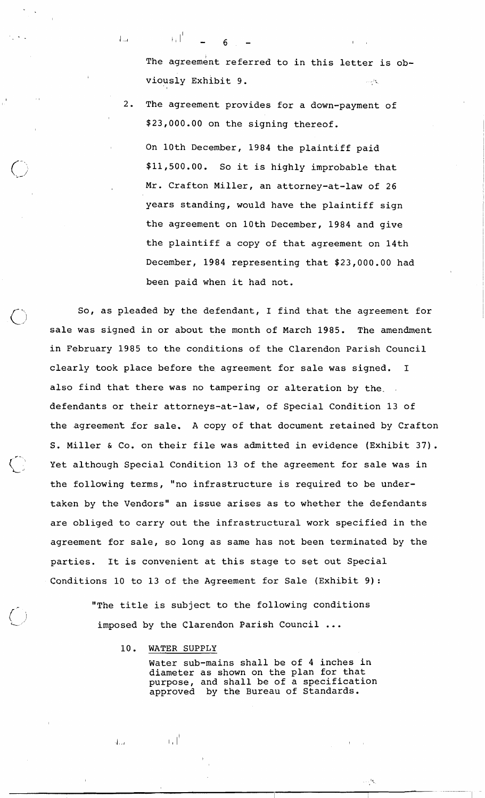The agreement referred to in this letter is obviously Exhibit 9.

2. The agreement provides for a down-payment of \$23,000.00 on the signing thereof.

ti L

 $6\overline{6}$ 

 $\|.\|_{\alpha}$ 

On 10th December, 1984 the plaintiff paid \$11,500.00. So it is highly improbable that Mr. Crafton Miller, an attorney-at-law of 26 years standing, would have the plaintiff sign the agreement on 10th December, 1984 and give the plaintiff a copy of that agreement on 14th December, 1984 representing that \$23,000.00 had been paid when it had not.

So, as pleaded by the defendant, I find that the agreement for sale was signed in or about the month of March 1985. The amendment in February 1985 to the conditions of the Clarendon Parish Council clearly took place before the agreement for sale was signed. I also find that there was no tampering or alteration by the. defendants or their attorneys-at-law, of Special Condition 13 of the agreement for sale. A copy of that document retained by Crafton S. Miller & Co. on their file was admitted in evidence (Exhibit 37). Yet although Special Condition 13 of the agreement for sale was in the following terms, "no infrastructure is required to be undertaken by the Vendors" an issue arises as to whether the defendants are obliged to carry out the infrastructural work specified in the agreement for sale, so long as same has not been terminated by the parties. It is convenient at this stage to set out Special Conditions 10 to 13 of the Agreement for Sale (Exhibit 9):

> "The title is subject to the following conditions imposed by the Clarendon Parish Council ...

> > 10. WATER SUPPLY

ا د

ه کا

**v** -

Water sub-mains shall be of 4 inches in diameter as shown on the plan for that purpose, and shall be of a specification approved by the Bureau of Standards.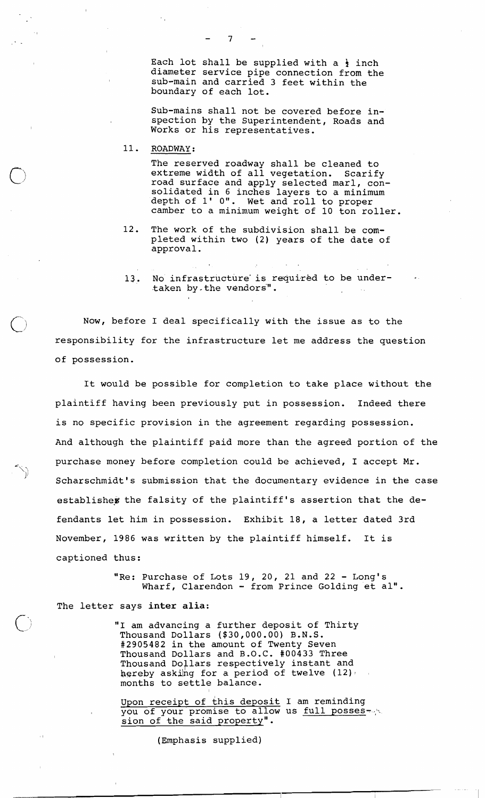Sub-mains shall not be covered before inspection by the superintendent, Roads and Works or his representatives.

11. ROADWAY:

The reserved roadway shall be cleaned to extreme width of all vegetation. Scarify road surface and apply selected marl, consolidated in 6 inches layers to a minimum depth of 1' 0". Wet and roll to proper camber to a minimum weight of 10 ton roller.

- 12. The work of the subdivision shall be completed within two (2) years of the date of approval.
- 13. No infrastructure' is requirbd to be undertaken by. the vendors'".

Now, before I deal specifically with the issue as to the responsibility for the infrastructure let me address the question of possession.

It would be possible for completion to take place without the plaintiff having been previously put in possession. Indeed there is no specific provision in the agreement regarding possession. And although the plaintiff paid more than the agreed portion of the purchase money before completion could be achieved, I accept Mr. Scharschmidt's submission that the documentary evidence in the case establishes the falsity of the plaintiff's assertion that the defendants let him in possession. Exhibit 18, a letter dated 3rd November, 1986 was written by the plaintiff himself. It is captioned thus:

> "Re: Purchase of Lots 19, 20, 21 and 22 - Long's Wharf, Clarendon - from Prince Golding et al".

The letter says **inter** alia:

 $\rightarrow$ 

"I am advancing a further deposit of Thirty Thousand Dollars (\$30,000.00) B.N.S. #2905482 in the amount of Twenty Seven Thousand Dollars and B.O.C. #00433 Three Thousand Dollars respectively instant and hereby asking for a period of twelve (12). months to settle balance.

Upon receipt of this deposit I am reminding you of your promise to allow us full posses- **,I..**  sion of the said property".

(Emphasis supplied)

boundary of each lot.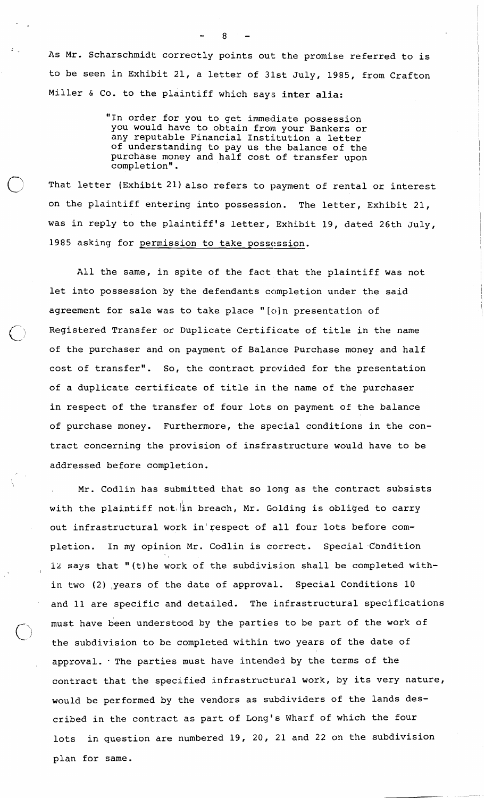As Mr. Scharschmidt correctly points out the promise referred to is to be seen in Exhibit 21, a letter of 31st July, 1985, from Crafton Miller & Co. to the plaintiff which says inter alia:

> "In order for you to get immediate possession you would have to obtain from your Bankers or any reputable Financial Institution a letter of understanding to pay us the balance of the purchase money and half cost of transfer upon completion".

That letter (Exhibit 21) also refers to payment of rental or interest on the plaintiff entering into possession. The letter, Exhibit 21, was in reply to the plaintiff's letter, Exhibit 19, dated 26th July, 1985 asking for permission to take possession.

All the same, in spite of the fact that the plaintiff was not let into possession by the defendants completion under the said agreement for sale was to take place "[o]n presentation of Registered Transfer or Duplicate Certificate of title in the name of the purchaser and on payment of Balance Purchase money and half cost of transfer". So, the contract provided for the presentation of a duplicate certificate of title in the name of the purchaser in respect of the transfer of four lots on payment of the balance of purchase money. Furthermore, the special conditions in the contract concerning the provision of insfrastructure would have to be addressed before completion.

Mr. Codlin has submitted that so long as the contract subsists with the plaintiff not in breach, Mr. Golding is obliged to carry out infrastructural work in respect of all four lots before completion. In my opinion Mr. Codlin is correct. Special Condition **i2** says that "(tlhe work of the subdivision shall be completed within two (2) years of the date of approval. Special Conditions 10 and 11 are specific and detailed. The infrastructural specifications 0 must have been understood by the parties to be part of the work of the subdivision to be completed within two years of the date of approval. - The parties must have intended by the terms of the contract that the specified infrastructural work, by its very nature, would be performed by the vendors as subdividers of the lands described in the contract as part of Long's Wharf of which the four lots in question are numbered 19, 2Q, 21 and 22 on the subdivision plan for same.

 $\mathbf{R}$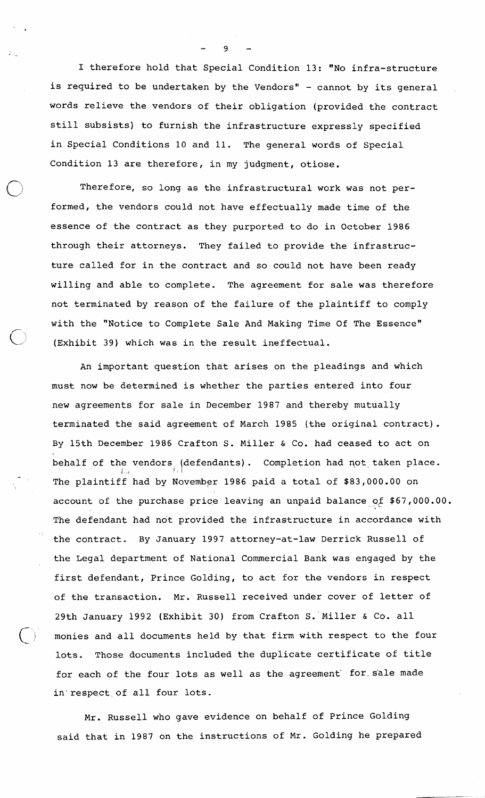I therefore hold that Special Condition 13: "No infra-structure is required to be undertaken by the Vendors" - cannot by its general words relieve the vendors of their obligation (provided the contract still subsists) to furnish the infrastructure expressly specified in Special Conditions 10 and 11. The general words of Special Condition 13 are therefore, in my judgment, otiose.

**-9-** 

Therefore, so long as the infrastructural work was not performed, the vendors could not have effectually made time of the essence of the contract as they purported to do in October 1986 through their attorneys. They failed to provide the infrastructure called for in the contract and so could not have been ready willing and able to complete. The agreement for sale was therefore not terminated by reason of the failure of the plaintiff to comply with the "Notice to Complete Sale And Making Time Of The Essence"<br>(Exhibit 39) which was in the result ineffectual.

An important question that arises on the pleadings and which must now be determined is whether the parties entered into four new agreements for sale in December 1987 and thereby mutually terminated the said agreement of March 1985 (the original contract). By 15th December 1986 Crafton S. Miller & Co. had ceased to act on behalf of the vendors (defendants). Completion had not taken place. II ,I I I I The plaintiff had by November 1986 paid a total of \$83,000.00 on account of the purchase price leaving an unpaid balance **qf** \$67,000.00. The defendant had not provided the infrastructure in accordance with the contract. By January 1997 attorney-at-law Derrick Russell of the Legal department of National Commercial Bank was engaged by the first defendant, Prince Golding, to act for the vendors in respect of the transaction. Mr. Russell received under cover of letter of 29th January 1992 (Exhibit 30) from Crafton S. Miller & Co. all monies and all documents held by that firm with respect to the four lots. Those documents included the duplicate certificate of title for each of the four lots as well as the agreement for sale made in' respect. of all four lots.

-

I

Mr. Russell who gave evidence on behalf of Prince Golding said that in 1987 on the instructions of Mr. Golding he prepared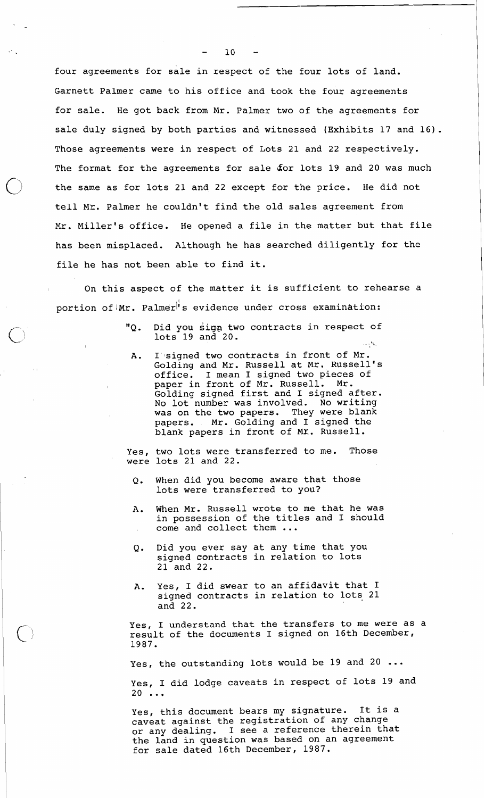four agreements for sale in respect of the four lots of land. Garnett Palmer came to his office and took the four agreements for sale. He got back from Mr. Palmer two of the agreements for sale duly signed by both parties and witnessed (Exhibits 17 and 16). Those agreements were in respect of Lots 21 and 22 respectively. The format for the agreements for sale for lots 19 and 20 was much the same as for lots 21 and 22 except for the price. He did not tell ME. Palmer he couldn't find the old sales agreement from Mr. Miller's office. He opened a file in the matter but that file has been misplaced. Although he has searched diligently for the file he has not been able to find it.

On this aspect of the matter it is sufficient to rehearse a portion of  $Mr$ . Palmer<sup>i</sup>s evidence under cross examination:

- **"Q.** Did you **sign** two contracts in respect of lots 19 and 20. '.-
- A. I'signed two contracts in front of Mr. Golding and Mr. Russell at Mr. Russell's office. I mean I signed two pieces of paper in front of Mr. Russell. Mr. Golding signed first and I signed after. No lot number was involved. No writing was on the two papers. They were blank<br>papers. Mr. Golding and I signed the Mr. Golding and I signed the blank papers in front of Mr. Russell.

Yes, two lots were transferred to me. Those were lots 21 and 22.

- **Q.** When did you become aware that those lots were transferred to you?
- A. When Mr. Russell wrote to me that he was If the titles and I should<br>come and collect them ...
- **Q.** Did you ever say at any time that you signed contracts in relation to lots 21 and 22.
- A. Yes, I did swear to an affidavit that I signed contracts in relation to lots 21 and 22.

Yes, I understand that the transfers to me were as a result of the documents I signed on 16th December, 1987.

Yes, the outstanding lots would be 19 and 20 ...

Yes, I did lodge caveats in respect of lots 19 and <sup>20</sup>...

Yes, this document bears my signature. It is a caveat against the registration of any change or any dealing. I see a reference therein that the land in question was based on an agreement for sale dated 16th December, 1987.

 $10$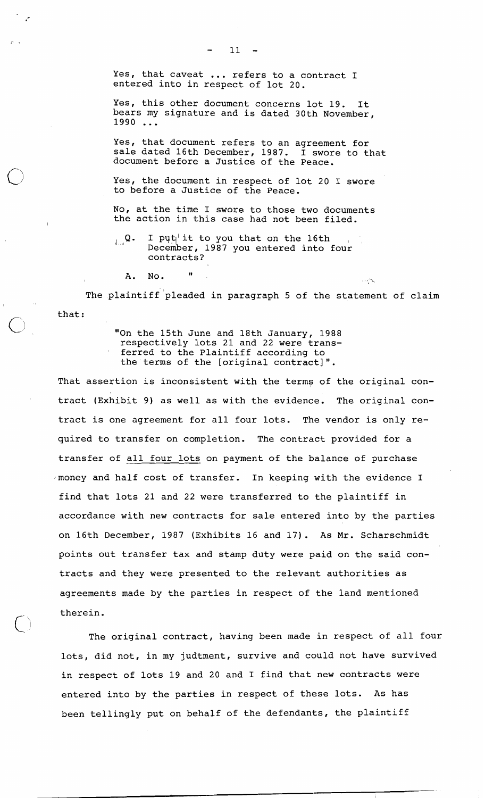Yes, that caveat ... refers to a contract I entered into in respect of lot 20.

Yes, this other document concerns lot 19. It bears my signature and is dated 30th November, <sup>1990</sup>...

Yes, that document refers to an agreement for sale dated 16th December, 1987. I swore to that document before a Justice of the Peace.

Yes, the document in respect of lot 20 I swore to before a Justice of the Peace.

No, at the time I swore to those two documents the action in this case had not been filed.

- $\mathbf{Q}_{\bullet}$ I put it to you that on the 16th December, 1987 you entered into four contracts?
- A. No. **<sup>11</sup>**  $A. No.$   $\blacksquare$

 $\bigcup$ 

The plaintiff pleaded in paragraph 5 of the statement of claim that:

> "On the 15th June and 18th January, 1988 respectively lots 21 and 22 were transferred to the Plaintiff according to

the terms of the [original contract]".

That assertion is inconsistent with the terms of the original contract (Exhibit 9) as well as with the evidence. The original contract is one agreement for all four lots. The vendor is only required to transfer on completion. The contract provided for a transfer of all four lots on payment of the balance of purchase money and half cost of transfer. In keeping with the evidence I find that lots 21 and 22 were transferred to the plaintiff in accordance with new contracts for sale entered into by the parties on 16th December, 1987 (Exhibits 16 and 17). As Mr. Scharschmidt points out transfer tax and stamp duty were paid on the said contracts and they were presented to the relevant authorities as agreements made by the parties in respect of the land mentioned therein.

The original contract, having been made in respect of all four lots, did not, in my judtment, survive and could not have survived in respect of lots 19 and 20 and I find that new contracts were entered into by the parties in respect of these lots. As has been tellingly put on behalf of the defendants, the plaintiff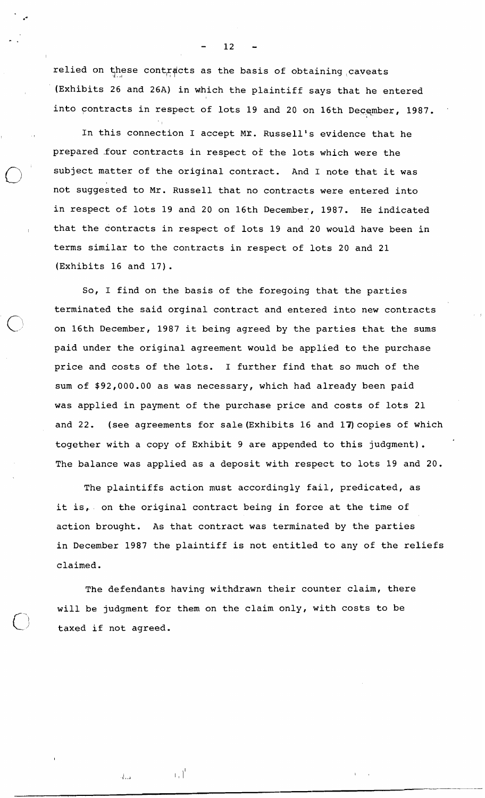relied on these contracts as the basis of obtaining caveats (Exhibits 26 and 26A) in which the plaintiff says that he entered into contracts in respect of lots 19 and 20 on 16th December, 1987.

In this connection I accept ME. Russell's evidence that he prepared four contracts in respect of the lots which were the subject matter of the original contract. And I note that it was not suggested to Mr. Russell that no contracts were entered into in respect of lots 19 and 20 on 16th December, 1987. He indicated that the contracts in respect of lots 19 and 20 would have been in terms similar to the contracts in respect of lots 20 and 21 (Exhibits 16 and 17).

So, I find on the basis of the foregoing that the parties terminated the said orginal contract and entered into new contracts on 16th December, 1987 it being agreed by the parties that the sums paid under the original agreement would be applied to the purchase price and costs of the lots. I further find that so much of the sum of \$92,000.00 as was necessary, which had already been paid was applied in payment of the purchase price and costs of lots 21 and 22. (see agreements for sale (Exhibits 16 and 17) copies of which together with a copy of Exhibit 9 are appended to this judgment). The balance was applied as a deposit with respect to lots 19 and 20.

The plaintiffs action must accordingly fail, predicated, as it is, on the original contract being in force at the time of action brought. As that contract was terminated by the parties in December 1987 the plaintiff is not entitled to any of the reliefs claimed.

The defendants having withdrawn their counter claim, there will be judgment for them on the claim only, with costs to be taxed if not agreed.

 $\mathbf{L} \mathbf{L}$ 

ان ان

 $12$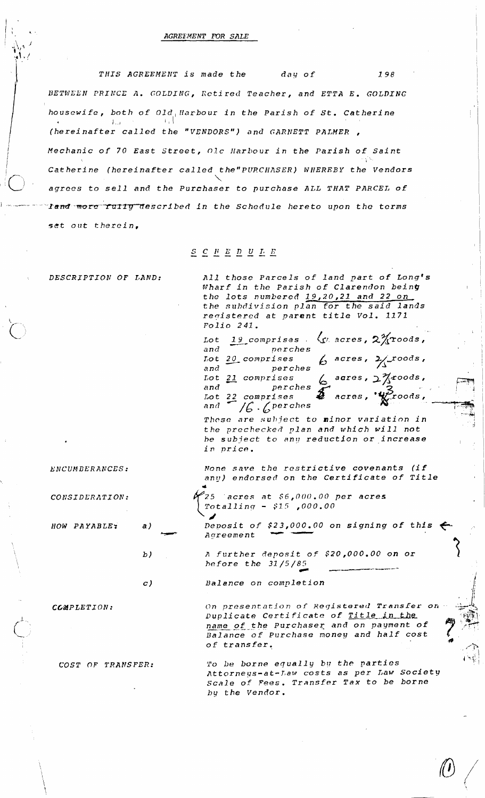## AGREEMENT FOR SALE

THIS AGREEMENT is made the  $day$  of  $198$ BETWEEN PRINCE A. GOLDING, Retired Teacher, and ETTA E. GOLDING housewife, both of Old Harbour in the Parish of St. Catherine (hereinafter called the "VENDORS") and GARNETT PALMER, Mechanic of 70 East Street, Olc Harbour in the Parish of Saint Catherine (hereinafter called the"PURCHASER) WHEREEY the Vendors agrees to sell and the Purchaser to purchase ALL THAT PARCEL of Tand more rully described in the Schedule hereto upon the terms set out therein,

## $\begin{array}{cccccccccccccc} \underline{S} & \underline{C} & \underline{P} & \underline{E} & \underline{D} & \underline{U} & \underline{L} & \underline{E} \end{array}$

DESCRIPTION OF LAND:

All those Parcels of land part of Long's Wharf in the Parish of Clarendon being the lots numbered 19,20,21 and 22 on the subdivision plan for the said lands registered at parent title Vol. 1171  $Folio 241.$ 

19 comprises  $\langle y \rangle$  acres,  $2\frac{\gamma}{4}$  roods, Lot perches  $and$  $6$  acres,  $\frac{2}{3}$ roods, Lot 20 comprises  $perches$  $and$  $6$  acres,  $2\frac{7}{3}$ roods, Lot  $21$  comprises  $perches$ and  $\ddot{z}$  acres, 22 comprises Lot  $/6 \cdot 6$  perches  $and$ 

These are subject to minor variation in the prechecked plan and which will not be subject to any reduction or increase in price.

 $\tau$ oods,

None save the restrictive covenants (if any) endorsed on the Certificate of Title

 $\mathscr{C}_2$ 5 acres at \$6,000.00 per acres Totalling - \$15,000.00

Deposit of  $$23,000.00$  on signing of this  $\leftarrow$ Agreement

A further deposit of \$20,000.00 on or hefore the  $31/5/85$ 

Balance on completion

On presentation of Registered Transfer on Duplicate Certificate of Title in the name of the Purchaser and on payment of Balance of Purchase money and half cost of transfer.

To be borne equally by the parties Attorneys-at-Law costs as per Law Society Scale of Fees. Transfer Tax to be borne by the Vendor.

ENCUMBERANCES:

CONSIDERATION:

HOW PAYABLE:  $a)$ 

 $c)$ 

 $b)$ 

CCMPLETION:

COST OF TRANSFER: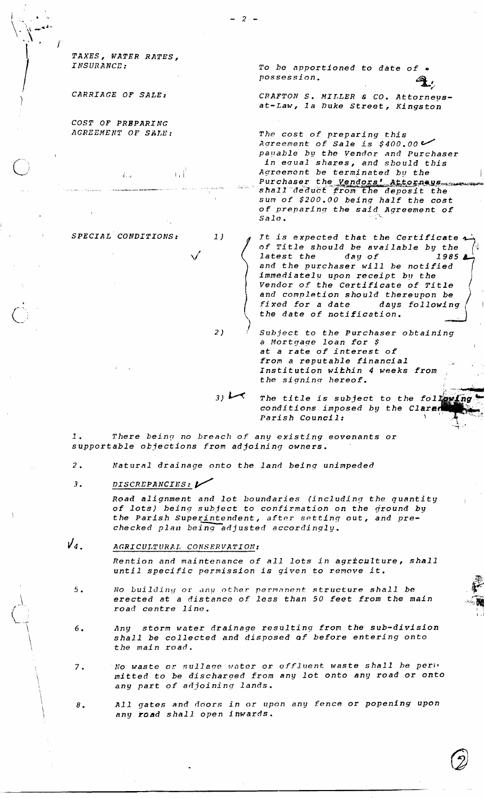TAXES, WATER RATES. INSURANCE: To be apportioned to date of . possession. CARRIAGE OF SALE: CRAFTON S. MILLER & CO. Attorneysat-Law, la Duke Street, Kingston COST OF PREPARING The cost of preparing this<br>Agreement of Sale is \$400.00 AGREEMENT OF SALE: panable by the Vendor and Purchaser in equal shares, and should this Agreement be terminated by the  $\pm$ .  $\frac{1}{2}$ Purchaser the Vendors' Attorneys sum of \$200.00 being half the cost of preparing the said Agreement of Sale. SPECIAL CONDITIONS:  $1)$ It is expected that the Certificate a of Title should be available by the latest the day of 1985 A and the purchaser will be notified immediately upon receipt by the Vendor of the Certificate of Title and completion should thereupon be fixed for a date days following

 $2<sup>1</sup>$ 

 $2)$ 

Subject to the Purchaser obtaining a Mortgage loan for \$ at a rate of interest of from a reputable financial Institution within 4 weeks from the signing hereof.

the date of notification.

 $3)$ The title is subject to the following conditions imposed by the Clared Parish Council:

There being no breach of any existing eovenants or  $1.$ supportable objections from adjoining owners.

 $2.$ Natural drainage onto the land being unimpeded

DISCREPANCIES:  $3.$ 

> Road alignment and lot boundaries (including the quantity of lots) being subject to confirmation on the ground by the Parish Superintendent, after setting out, and prechecked plan being adjusted accordingly.

 $\bigvee_{d}$ AGRICULTURAL CONSERVATION:

> Rention and maintenance of all lots in agriculture, shall until specific permission is given to remove it.

- No building or any other permanent structure shall be  $5.$ erected at a distance of less than 50 feet from the main road centre line.
- storm water drainage resulting from the sub-division  $6.$ Anu shall be collected and disposed of before entering onto the main road.
- No waste or sullage water or effluent waste shall be perm  $7.$ mitted to be discharged from any lot onto any road or onto any part of adjoining lands.
- All gates and doors in or upon any fence or popening upon  $\boldsymbol{s}$  . any road shall open inwards.